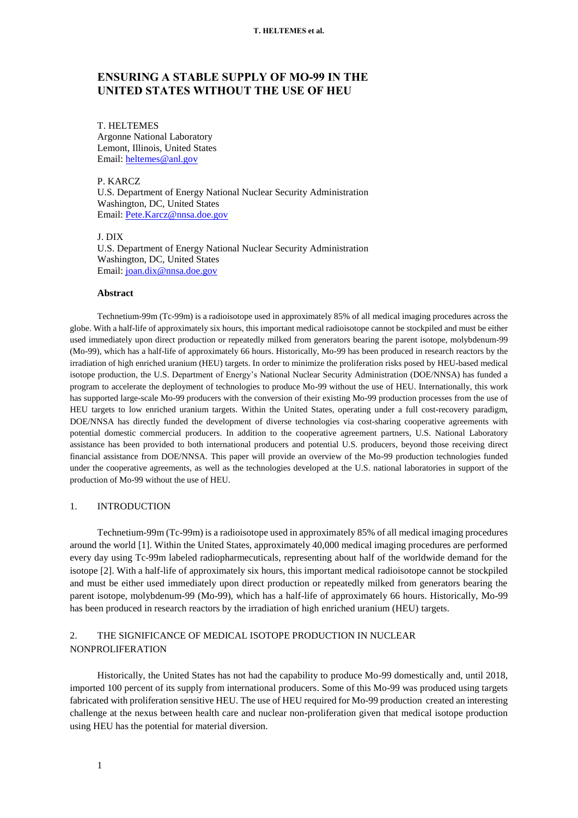# **ENSURING A STABLE SUPPLY OF MO-99 IN THE UNITED STATES WITHOUT THE USE OF HEU**

T. HELTEMES Argonne National Laboratory Lemont, Illinois, United States Email: [heltemes@anl.gov](mailto:heltemes@anl.gov)

P. KARCZ

U.S. Department of Energy National Nuclear Security Administration Washington, DC, United States Email: [Pete.Karcz@nnsa.doe.gov](mailto:Pete.Karcz@nnsa.doe.gov)

J. DIX U.S. Department of Energy National Nuclear Security Administration Washington, DC, United States Email: [joan.dix@nnsa.doe.gov](mailto:joan.dix@nnsa.doe.gov)

### **Abstract**

Technetium-99m (Tc-99m) is a radioisotope used in approximately 85% of all medical imaging procedures across the globe. With a half-life of approximately six hours, this important medical radioisotope cannot be stockpiled and must be either used immediately upon direct production or repeatedly milked from generators bearing the parent isotope, molybdenum-99 (Mo-99), which has a half-life of approximately 66 hours. Historically, Mo-99 has been produced in research reactors by the irradiation of high enriched uranium (HEU) targets. In order to minimize the proliferation risks posed by HEU-based medical isotope production, the U.S. Department of Energy's National Nuclear Security Administration (DOE/NNSA) has funded a program to accelerate the deployment of technologies to produce Mo-99 without the use of HEU. Internationally, this work has supported large-scale Mo-99 producers with the conversion of their existing Mo-99 production processes from the use of HEU targets to low enriched uranium targets. Within the United States, operating under a full cost-recovery paradigm, DOE/NNSA has directly funded the development of diverse technologies via cost-sharing cooperative agreements with potential domestic commercial producers. In addition to the cooperative agreement partners, U.S. National Laboratory assistance has been provided to both international producers and potential U.S. producers, beyond those receiving direct financial assistance from DOE/NNSA. This paper will provide an overview of the Mo-99 production technologies funded under the cooperative agreements, as well as the technologies developed at the U.S. national laboratories in support of the production of Mo-99 without the use of HEU.

### 1. INTRODUCTION

Technetium-99m (Tc-99m) is a radioisotope used in approximately 85% of all medical imaging procedures around the world [\[1\].](#page-6-0) Within the United States, approximately 40,000 medical imaging procedures are performed every day using Tc-99m labeled radiopharmecuticals, representing about half of the worldwide demand for the isotope [\[2\].](#page-6-1) With a half-life of approximately six hours, this important medical radioisotope cannot be stockpiled and must be either used immediately upon direct production or repeatedly milked from generators bearing the parent isotope, molybdenum-99 (Mo-99), which has a half-life of approximately 66 hours. Historically, Mo-99 has been produced in research reactors by the irradiation of high enriched uranium (HEU) targets.

# 2. THE SIGNIFICANCE OF MEDICAL ISOTOPE PRODUCTION IN NUCLEAR NONPROLIFERATION

Historically, the United States has not had the capability to produce Mo-99 domestically and, until 2018, imported 100 percent of its supply from international producers. Some of this Mo-99 was produced using targets fabricated with proliferation sensitive HEU. The use of HEU required for Mo-99 production created an interesting challenge at the nexus between health care and nuclear non-proliferation given that medical isotope production using HEU has the potential for material diversion.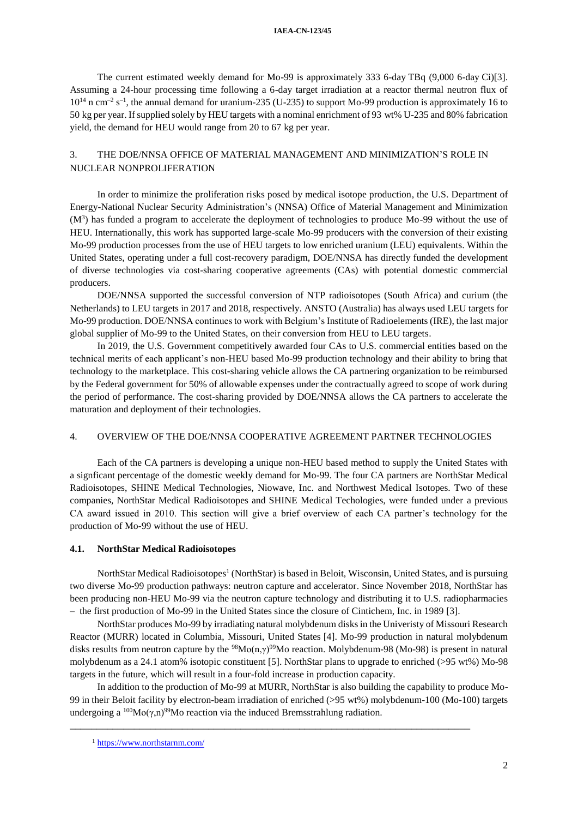#### **IAEA-CN-123/45**

The current estimated weekly demand for Mo-99 is approximately 333 6-day TBq (9,000 6-day Ci[\)\[3\].](#page-6-2) Assuming a 24-hour processing time following a 6-day target irradiation at a reactor thermal neutron flux of  $10^{14}$  n cm<sup>-2</sup> s<sup>-1</sup>, the annual demand for uranium-235 (U-235) to support Mo-99 production is approximately 16 to 50 kg per year. If supplied solely by HEU targets with a nominal enrichment of 93 wt% U-235 and 80% fabrication yield, the demand for HEU would range from 20 to 67 kg per year.

# 3. THE DOE/NNSA OFFICE OF MATERIAL MANAGEMENT AND MINIMIZATION'S ROLE IN NUCLEAR NONPROLIFERATION

In order to minimize the proliferation risks posed by medical isotope production, the U.S. Department of Energy-National Nuclear Security Administration's (NNSA) Office of Material Management and Minimization  $(M<sup>3</sup>)$  has funded a program to accelerate the deployment of technologies to produce Mo-99 without the use of HEU. Internationally, this work has supported large-scale Mo-99 producers with the conversion of their existing Mo-99 production processes from the use of HEU targets to low enriched uranium (LEU) equivalents. Within the United States, operating under a full cost-recovery paradigm, DOE/NNSA has directly funded the development of diverse technologies via cost-sharing cooperative agreements (CAs) with potential domestic commercial producers.

DOE/NNSA supported the successful conversion of NTP radioisotopes (South Africa) and curium (the Netherlands) to LEU targets in 2017 and 2018, respectively. ANSTO (Australia) has always used LEU targets for Mo-99 production. DOE/NNSA continues to work with Belgium's Institute of Radioelements (IRE), the last major global supplier of Mo-99 to the United States, on their conversion from HEU to LEU targets.

In 2019, the U.S. Government competitively awarded four CAs to U.S. commercial entities based on the technical merits of each applicant's non-HEU based Mo-99 production technology and their ability to bring that technology to the marketplace. This cost-sharing vehicle allows the CA partnering organization to be reimbursed by the Federal government for 50% of allowable expenses under the contractually agreed to scope of work during the period of performance. The cost-sharing provided by DOE/NNSA allows the CA partners to accelerate the maturation and deployment of their technologies.

### 4. OVERVIEW OF THE DOE/NNSA COOPERATIVE AGREEMENT PARTNER TECHNOLOGIES

Each of the CA partners is developing a unique non-HEU based method to supply the United States with a signficant percentage of the domestic weekly demand for Mo-99. The four CA partners are NorthStar Medical Radioisotopes, SHINE Medical Technologies, Niowave, Inc. and Northwest Medical Isotopes. Two of these companies, NorthStar Medical Radioisotopes and SHINE Medical Techologies, were funded under a previous CA award issued in 2010. This section will give a brief overview of each CA partner's technology for the production of Mo-99 without the use of HEU.

### **4.1. NorthStar Medical Radioisotopes**

NorthStar Medical Radioisotopes<sup>1</sup> (NorthStar) is based in Beloit, Wisconsin, United States, and is pursuing two diverse Mo-99 production pathways: neutron capture and accelerator. Since November 2018, NorthStar has been producing non-HEU Mo-99 via the neutron capture technology and distributing it to U.S. radiopharmacies – the first production of Mo-99 in the United States since the closure of Cintichem, Inc. in 1989 [\[3\].](#page-6-2)

NorthStar produces Mo-99 by irradiating natural molybdenum disks in the Univeristy of Missouri Research Reactor (MURR) located in Columbia, Missouri, United States [\[4\].](#page-6-3) Mo-99 production in natural molybdenum disks results from neutron capture by the <sup>98</sup>Mo(n, $\gamma$ )<sup>99</sup>Mo reaction. Molybdenum-98 (Mo-98) is present in natural molybdenum as a 24.1 atom% isotopic constituent [\[5\].](#page-6-4) NorthStar plans to upgrade to enriched (>95 wt%) Mo-98 targets in the future, which will result in a four-fold increase in production capacity.

In addition to the production of Mo-99 at MURR, NorthStar is also building the capability to produce Mo-99 in their Beloit facility by electron-beam irradiation of enriched (>95 wt%) molybdenum-100 (Mo-100) targets undergoing a  $^{100}Mo(\gamma,n)^{99}Mo$  reaction via the induced Bremsstrahlung radiation.

<sup>1</sup> <https://www.northstarnm.com/>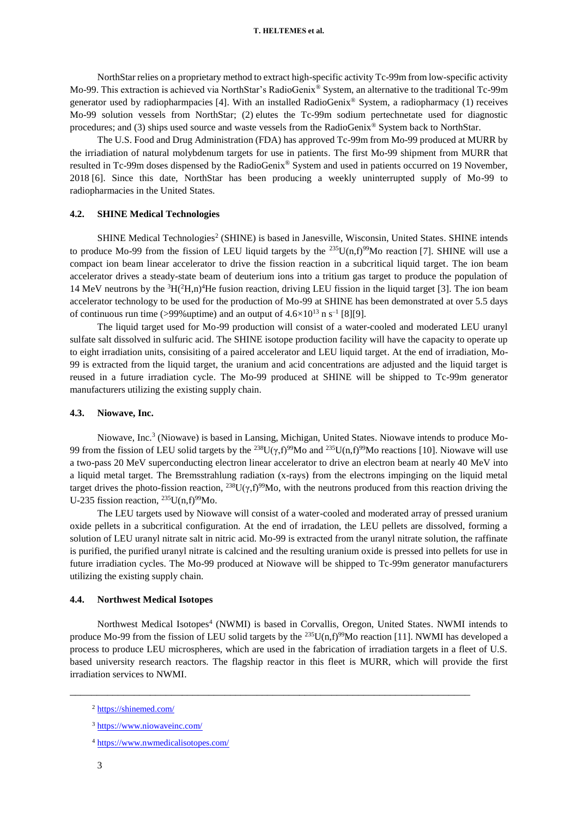NorthStar relies on a proprietary method to extract high-specific activity Tc-99m from low-specific activity Mo-99. This extraction is achieved via NorthStar's RadioGenix® System, an alternative to the traditional Tc-99m generator used by radiopharmpacies [\[4\].](#page-6-3) With an installed RadioGenix® System, a radiopharmacy (1) receives Mo-99 solution vessels from NorthStar; (2) elutes the Tc-99m sodium pertechnetate used for diagnostic procedures; and (3) ships used source and waste vessels from the RadioGenix® System back to NorthStar.

The U.S. Food and Drug Administration (FDA) has approved Tc-99m from Mo-99 produced at MURR by the irriadiation of natural molybdenum targets for use in patients. The first Mo-99 shipment from MURR that resulted in Tc-99m doses dispensed by the RadioGenix® System and used in patients occurred on 19 November, 2018 [\[6\].](#page-6-5) Since this date, NorthStar has been producing a weekly uninterrupted supply of Mo-99 to radiopharmacies in the United States.

#### **4.2. SHINE Medical Technologies**

SHINE Medical Technologies<sup>2</sup> (SHINE) is based in Janesville, Wisconsin, United States. SHINE intends to produce Mo-99 from the fission of LEU liquid targets by the  $^{235}U(n,f)^{99}M$ o reaction [\[7\].](#page-6-6) SHINE will use a compact ion beam linear accelerator to drive the fission reaction in a subcritical liquid target. The ion beam accelerator drives a steady-state beam of deuterium ions into a tritium gas target to produce the population of 14 MeV neutrons by the  ${}^{3}H(^{2}H,n){}^{4}He$  fusion reaction, driving LEU fission in the liquid target [\[3\].](#page-6-2) The ion beam accelerator technology to be used for the production of Mo-99 at SHINE has been demonstrated at over 5.5 days of continuous run time (>99% uptime) and an output of  $4.6 \times 10^{13}$  n s<sup>-1</sup> [\[8\]](#page-6-7)[\[9\].](#page-6-8)

The liquid target used for Mo-99 production will consist of a water-cooled and moderated LEU uranyl sulfate salt dissolved in sulfuric acid. The SHINE isotope production facility will have the capacity to operate up to eight irradiation units, consisiting of a paired accelerator and LEU liquid target. At the end of irradiation, Mo-99 is extracted from the liquid target, the uranium and acid concentrations are adjusted and the liquid target is reused in a future irradiation cycle. The Mo-99 produced at SHINE will be shipped to Tc-99m generator manufacturers utilizing the existing supply chain.

#### **4.3. Niowave, Inc.**

Niowave, Inc.<sup>3</sup> (Niowave) is based in Lansing, Michigan, United States. Niowave intends to produce Mo-99 from the fission of LEU solid targets by the <sup>238</sup>U( $\gamma$ ,f)<sup>99</sup>Mo and <sup>235</sup>U( $n$ ,f)<sup>99</sup>Mo reactions [\[10\].](#page-6-9) Niowave will use a two-pass 20 MeV superconducting electron linear accelerator to drive an electron beam at nearly 40 MeV into a liquid metal target. The Bremsstrahlung radiation (x-rays) from the electrons impinging on the liquid metal target drives the photo-fission reaction, <sup>238</sup>U( $\gamma$ ,f)<sup>99</sup>Mo, with the neutrons produced from this reaction driving the U-235 fission reaction,  $^{235}$ U(n,f)<sup>99</sup>Mo.

The LEU targets used by Niowave will consist of a water-cooled and moderated array of pressed uranium oxide pellets in a subcritical configuration. At the end of irradation, the LEU pellets are dissolved, forming a solution of LEU uranyl nitrate salt in nitric acid. Mo-99 is extracted from the uranyl nitrate solution, the raffinate is purified, the purified uranyl nitrate is calcined and the resulting uranium oxide is pressed into pellets for use in future irradiation cycles. The Mo-99 produced at Niowave will be shipped to Tc-99m generator manufacturers utilizing the existing supply chain.

## **4.4. Northwest Medical Isotopes**

Northwest Medical Isotopes<sup>4</sup> (NWMI) is based in Corvallis, Oregon, United States. NWMI intends to produce Mo-99 from the fission of LEU solid targets by the <sup>235</sup>U(n,f)<sup>99</sup>Mo reaction [\[11\].](#page-6-10) NWMI has developed a process to produce LEU microspheres, which are used in the fabrication of irradiation targets in a fleet of U.S. based university research reactors. The flagship reactor in this fleet is MURR, which will provide the first irradiation services to NWMI.

<sup>2</sup> <https://shinemed.com/>

<sup>3</sup> <https://www.niowaveinc.com/>

<sup>4</sup> <https://www.nwmedicalisotopes.com/>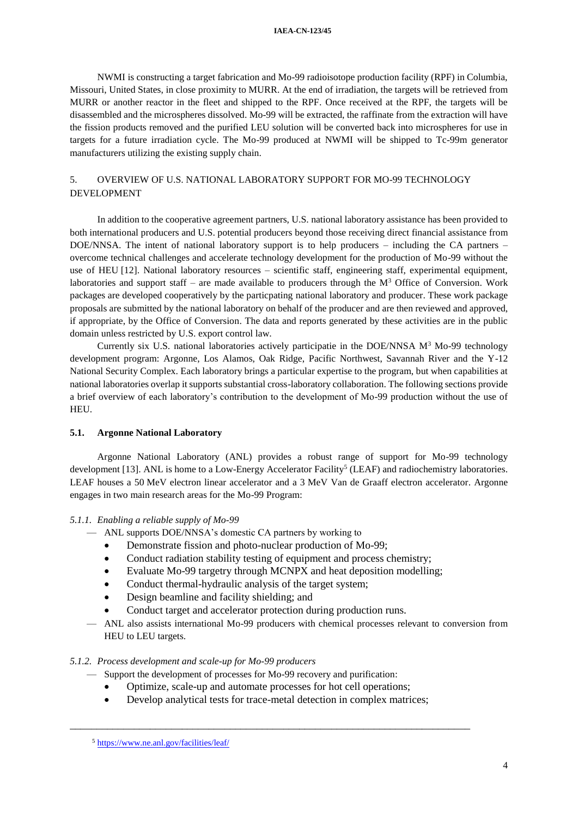#### **IAEA-CN-123/45**

NWMI is constructing a target fabrication and Mo-99 radioisotope production facility (RPF) in Columbia, Missouri, United States, in close proximity to MURR. At the end of irradiation, the targets will be retrieved from MURR or another reactor in the fleet and shipped to the RPF. Once received at the RPF, the targets will be disassembled and the microspheres dissolved. Mo-99 will be extracted, the raffinate from the extraction will have the fission products removed and the purified LEU solution will be converted back into microspheres for use in targets for a future irradiation cycle. The Mo-99 produced at NWMI will be shipped to Tc-99m generator manufacturers utilizing the existing supply chain.

# 5. OVERVIEW OF U.S. NATIONAL LABORATORY SUPPORT FOR MO-99 TECHNOLOGY DEVELOPMENT

In addition to the cooperative agreement partners, U.S. national laboratory assistance has been provided to both international producers and U.S. potential producers beyond those receiving direct financial assistance from DOE/NNSA. The intent of national laboratory support is to help producers – including the CA partners – overcome technical challenges and accelerate technology development for the production of Mo-99 without the use of HEU [\[12\].](#page-6-11) National laboratory resources – scientific staff, engineering staff, experimental equipment, laboratories and support staff – are made available to producers through the  $M<sup>3</sup>$  Office of Conversion. Work packages are developed cooperatively by the particpating national laboratory and producer. These work package proposals are submitted by the national laboratory on behalf of the producer and are then reviewed and approved, if appropriate, by the Office of Conversion. The data and reports generated by these activities are in the public domain unless restricted by U.S. export control law.

Currently six U.S. national laboratories actively participatie in the DOE/NNSA  $M<sup>3</sup>$  Mo-99 technology development program: Argonne, Los Alamos, Oak Ridge, Pacific Northwest, Savannah River and the Y-12 National Security Complex. Each laboratory brings a particular expertise to the program, but when capabilities at national laboratories overlap it supports substantial cross-laboratory collaboration. The following sections provide a brief overview of each laboratory's contribution to the development of Mo-99 production without the use of HEU.

## **5.1. Argonne National Laboratory**

Argonne National Laboratory (ANL) provides a robust range of support for Mo-99 technology development [\[13\].](#page-6-12) ANL is home to a Low-Energy Accelerator Facility<sup>5</sup> (LEAF) and radiochemistry laboratories. LEAF houses a 50 MeV electron linear accelerator and a 3 MeV Van de Graaff electron accelerator. Argonne engages in two main research areas for the Mo-99 Program:

### *5.1.1. Enabling a reliable supply of Mo-99*

- ANL supports DOE/NNSA's domestic CA partners by working to
	- Demonstrate fission and photo-nuclear production of Mo-99;
	- Conduct radiation stability testing of equipment and process chemistry;
	- Evaluate Mo-99 targetry through MCNPX and heat deposition modelling;
	- Conduct thermal-hydraulic analysis of the target system;
	- Design beamline and facility shielding; and
	- Conduct target and accelerator protection during production runs.
- ANL also assists international Mo-99 producers with chemical processes relevant to conversion from HEU to LEU targets.

### *5.1.2. Process development and scale-up for Mo-99 producers*

- Support the development of processes for Mo-99 recovery and purification:
- Optimize, scale-up and automate processes for hot cell operations;
- Develop analytical tests for trace-metal detection in complex matrices;

<sup>5</sup> <https://www.ne.anl.gov/facilities/leaf/>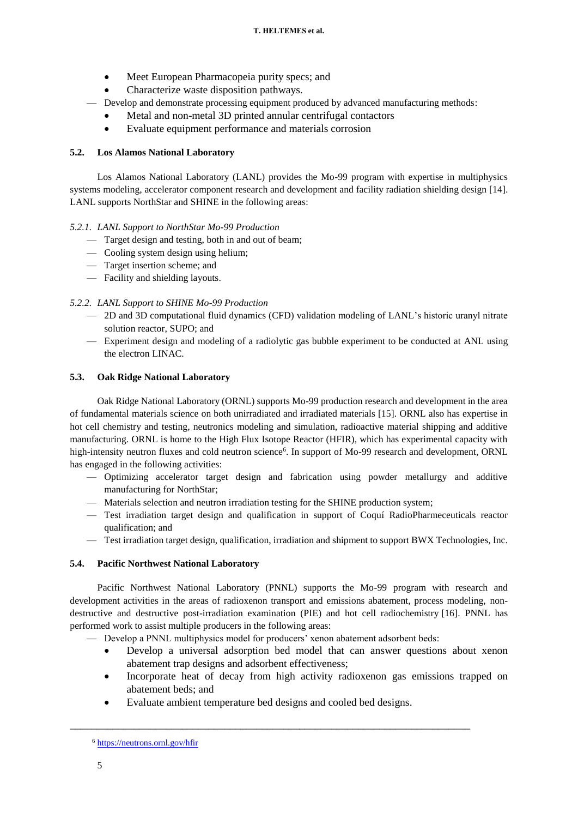- Meet European Pharmacopeia purity specs; and
- Characterize waste disposition pathways.
- Develop and demonstrate processing equipment produced by advanced manufacturing methods:
	- Metal and non-metal 3D printed annular centrifugal contactors
	- Evaluate equipment performance and materials corrosion

# **5.2. Los Alamos National Laboratory**

Los Alamos National Laboratory (LANL) provides the Mo-99 program with expertise in multiphysics systems modeling, accelerator component research and development and facility radiation shielding design [\[14\].](#page-6-13) LANL supports NorthStar and SHINE in the following areas:

# *5.2.1. LANL Support to NorthStar Mo-99 Production*

- Target design and testing, both in and out of beam;
- Cooling system design using helium;
- Target insertion scheme; and
- Facility and shielding layouts.

# *5.2.2. LANL Support to SHINE Mo-99 Production*

- 2D and 3D computational fluid dynamics (CFD) validation modeling of LANL's historic uranyl nitrate solution reactor, SUPO; and
- Experiment design and modeling of a radiolytic gas bubble experiment to be conducted at ANL using the electron LINAC.

# **5.3. Oak Ridge National Laboratory**

Oak Ridge National Laboratory (ORNL) supports Mo-99 production research and development in the area of fundamental materials science on both unirradiated and irradiated materials [\[15\].](#page-6-14) ORNL also has expertise in hot cell chemistry and testing, neutronics modeling and simulation, radioactive material shipping and additive manufacturing. ORNL is home to the High Flux Isotope Reactor (HFIR), which has experimental capacity with high-intensity neutron fluxes and cold neutron science<sup>6</sup>. In support of Mo-99 research and development, ORNL has engaged in the following activities:

- Optimizing accelerator target design and fabrication using powder metallurgy and additive manufacturing for NorthStar;
- Materials selection and neutron irradiation testing for the SHINE production system;
- Test irradiation target design and qualification in support of Coquí RadioPharmeceuticals reactor qualification; and
- Test irradiation target design, qualification, irradiation and shipment to support BWX Technologies, Inc.

# **5.4. Pacific Northwest National Laboratory**

Pacific Northwest National Laboratory (PNNL) supports the Mo-99 program with research and development activities in the areas of radioxenon transport and emissions abatement, process modeling, nondestructive and destructive post-irradiation examination (PIE) and hot cell radiochemistry [\[16\].](#page-6-15) PNNL has performed work to assist multiple producers in the following areas:

- Develop a PNNL multiphysics model for producers' xenon abatement adsorbent beds:
	- Develop a universal adsorption bed model that can answer questions about xenon abatement trap designs and adsorbent effectiveness;
	- Incorporate heat of decay from high activity radioxenon gas emissions trapped on abatement beds; and
	- Evaluate ambient temperature bed designs and cooled bed designs.

<sup>6</sup> <https://neutrons.ornl.gov/hfir>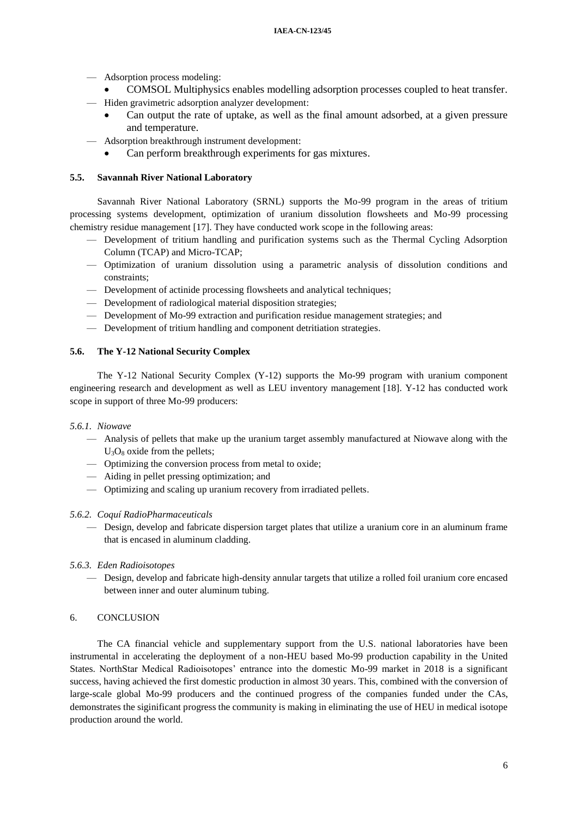- Adsorption process modeling:
	- COMSOL Multiphysics enables modelling adsorption processes coupled to heat transfer.
- Hiden gravimetric adsorption analyzer development:
	- Can output the rate of uptake, as well as the final amount adsorbed, at a given pressure and temperature.
- Adsorption breakthrough instrument development:
	- Can perform breakthrough experiments for gas mixtures.

## **5.5. Savannah River National Laboratory**

Savannah River National Laboratory (SRNL) supports the Mo-99 program in the areas of tritium processing systems development, optimization of uranium dissolution flowsheets and Mo-99 processing chemistry residue management [\[17\].](#page-6-16) They have conducted work scope in the following areas:

- Development of tritium handling and purification systems such as the Thermal Cycling Adsorption Column (TCAP) and Micro-TCAP;
- Optimization of uranium dissolution using a parametric analysis of dissolution conditions and constraints;
- Development of actinide processing flowsheets and analytical techniques;
- Development of radiological material disposition strategies;
- Development of Mo-99 extraction and purification residue management strategies; and
- Development of tritium handling and component detritiation strategies.

## **5.6. The Y-12 National Security Complex**

The Y-12 National Security Complex (Y-12) supports the Mo-99 program with uranium component engineering research and development as well as LEU inventory management [\[18\].](#page-6-17) Y-12 has conducted work scope in support of three Mo-99 producers:

## *5.6.1. Niowave*

- Analysis of pellets that make up the uranium target assembly manufactured at Niowave along with the  $U_3O_8$  oxide from the pellets;
- Optimizing the conversion process from metal to oxide;
- Aiding in pellet pressing optimization; and
- Optimizing and scaling up uranium recovery from irradiated pellets.

## *5.6.2. Coquí RadioPharmaceuticals*

- Design, develop and fabricate dispersion target plates that utilize a uranium core in an aluminum frame that is encased in aluminum cladding.
- *5.6.3. Eden Radioisotopes*
	- Design, develop and fabricate high-density annular targets that utilize a rolled foil uranium core encased between inner and outer aluminum tubing.

## 6. CONCLUSION

The CA financial vehicle and supplementary support from the U.S. national laboratories have been instrumental in accelerating the deployment of a non-HEU based Mo-99 production capability in the United States. NorthStar Medical Radioisotopes' entrance into the domestic Mo-99 market in 2018 is a significant success, having achieved the first domestic production in almost 30 years. This, combined with the conversion of large-scale global Mo-99 producers and the continued progress of the companies funded under the CAs, demonstrates the siginificant progress the community is making in eliminating the use of HEU in medical isotope production around the world.